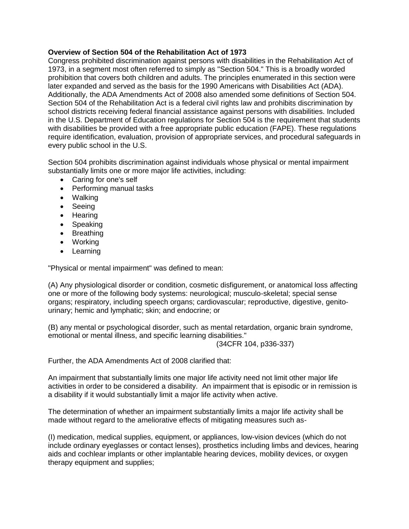# **Overview of Section 504 of the Rehabilitation Act of 1973**

Congress prohibited discrimination against persons with disabilities in the Rehabilitation Act of 1973, in a segment most often referred to simply as "Section 504." This is a broadly worded prohibition that covers both children and adults. The principles enumerated in this section were later expanded and served as the basis for the 1990 Americans with Disabilities Act (ADA). Additionally, the ADA Amendments Act of 2008 also amended some definitions of Section 504. Section 504 of the Rehabilitation Act is a federal civil rights law and prohibits discrimination by school districts receiving federal financial assistance against persons with disabilities. Included in the U.S. Department of Education regulations for Section 504 is the requirement that students with disabilities be provided with a free appropriate public education (FAPE). These regulations require identification, evaluation, provision of appropriate services, and procedural safeguards in every public school in the U.S.

Section 504 prohibits discrimination against individuals whose physical or mental impairment substantially limits one or more major life activities, including:

- Caring for one's self
- Performing manual tasks
- Walking
- Seeing
- Hearing
- Speaking
- Breathing
- Working
- Learning

"Physical or mental impairment" was defined to mean:

(A) Any physiological disorder or condition, cosmetic disfigurement, or anatomical loss affecting one or more of the following body systems: neurological; musculo-skeletal; special sense organs; respiratory, including speech organs; cardiovascular; reproductive, digestive, genitourinary; hemic and lymphatic; skin; and endocrine; or

(B) any mental or psychological disorder, such as mental retardation, organic brain syndrome, emotional or mental illness, and specific learning disabilities."

(34CFR 104, p336-337)

Further, the ADA Amendments Act of 2008 clarified that:

An impairment that substantially limits one major life activity need not limit other major life activities in order to be considered a disability. An impairment that is episodic or in remission is a disability if it would substantially limit a major life activity when active.

The determination of whether an impairment substantially limits a major life activity shall be made without regard to the ameliorative effects of mitigating measures such as-

(I) medication, medical supplies, equipment, or appliances, low-vision devices (which do not include ordinary eyeglasses or contact lenses), prosthetics including limbs and devices, hearing aids and cochlear implants or other implantable hearing devices, mobility devices, or oxygen therapy equipment and supplies;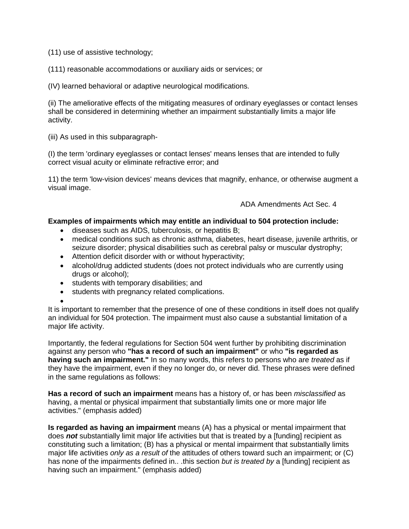(11) use of assistive technology;

(111) reasonable accommodations or auxiliary aids or services; or

(IV) learned behavioral or adaptive neurological modifications.

(ii) The ameliorative effects of the mitigating measures of ordinary eyeglasses or contact lenses shall be considered in determining whether an impairment substantially limits a major life activity.

(iii) As used in this subparagraph-

(I) the term 'ordinary eyeglasses or contact lenses' means lenses that are intended to fully correct visual acuity or eliminate refractive error; and

11) the term 'low-vision devices' means devices that magnify, enhance, or otherwise augment a visual image.

ADA Amendments Act Sec. 4

## **Examples of impairments which may entitle an individual to 504 protection include:**

- diseases such as AIDS, tuberculosis, or hepatitis B;
- medical conditions such as chronic asthma, diabetes, heart disease, juvenile arthritis, or seizure disorder; physical disabilities such as cerebral palsy or muscular dystrophy;
- Attention deficit disorder with or without hyperactivity;
- alcohol/drug addicted students (does not protect individuals who are currently using drugs or alcohol);
- students with temporary disabilities; and
- students with pregnancy related complications.

 $\bullet$ It is important to remember that the presence of one of these conditions in itself does not qualify an individual for 504 protection. The impairment must also cause a substantial limitation of a major life activity.

Importantly, the federal regulations for Section 504 went further by prohibiting discrimination against any person who **"has a record of such an impairment"** or who **"is regarded as having such an impairment."** In so many words, this refers to persons who are *treated* as if they have the impairment, even if they no longer do, or never did. These phrases were defined in the same regulations as follows:

**Has a record of such an impairment** means has a history of, or has been *misclassified* as having, a mental or physical impairment that substantially limits one or more major life activities." (emphasis added)

**Is regarded as having an impairment** means (A) has a physical or mental impairment that does *not* substantially limit major life activities but that is treated by a [funding] recipient as constituting such a limitation; (B) has a physical or mental impairment that substantially limits major life activities *only as a result of* the attitudes of others toward such an impairment; or (C) has none of the impairments defined in.. .this section *but is treated by* a [funding] recipient as having such an impairment." (emphasis added)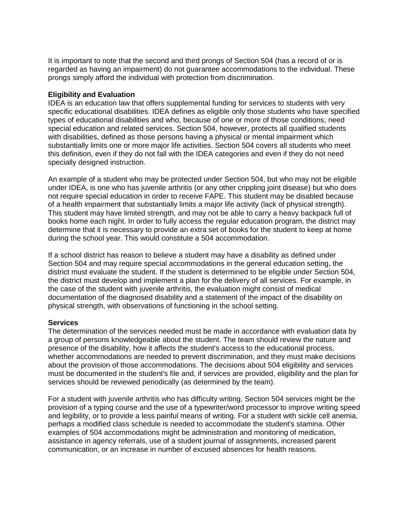It is important to note that the second and third prongs of Section 504 (has a record of or is regarded as having an impairment) do not guarantee accommodations to the individual. These prongs simply afford the individual with protection from discrimination.

### **Eligibility and Evaluation**

IDEA is an education law that offers supplemental funding for services to students with very specific educational disabilities. IDEA defines as eligible only those students who have specified types of educational disabilities and who, because of one or more of those conditions, need special education and related services. Section 504, however, protects all qualified students with disabilities, defined as those persons having a physical or mental impairment which substantially limits one or more major life activities. Section 504 covers all students who meet this definition, even if they do not fall with the IDEA categories and even if they do not need specially designed instruction.

An example of a student who may be protected under Section 504, but who may not be eligible under IDEA, is one who has juvenile arthritis (or any other crippling joint disease) but who does not require special education in order to receive FAPE. This student may be disabled because of a health impairment that substantially limits a major life activity (lack of physical strength). This student may have limited strength, and may not be able to carry a heavy backpack full of books home each night. In order to fully access the regular education program, the district may determine that it is necessary to provide an extra set of books for the student to keep at home during the school year. This would constitute a 504 accommodation.

If a school district has reason to believe a student may have a disability as defined under Section 504 and may require special accommodations in the general education setting, the district must evaluate the student. If the student is determined to be eligible under Section 504, the district must develop and implement a plan for the delivery of all services. For example, in the case of the student with juvenile arthritis, the evaluation might consist of medical documentation of the diagnosed disability and a statement of the impact of the disability on physical strength, with observations of functioning in the school setting.

### **Services**

The determination of the services needed must be made in accordance with evaluation data by a group of persons knowledgeable about the student. The team should review the nature and presence of the disability, how it affects the student's access to the educational process, whether accommodations are needed to prevent discrimination, and they must make decisions about the provision of those accommodations. The decisions about 504 eligibility and services must be documented in the student's file and, if services are provided, eligibility and the plan for services should be reviewed periodically (as determined by the team).

For a student with juvenile arthritis who has difficulty writing, Section 504 services might be the provision of a typing course and the use of a typewriter/word processor to improve writing speed and legibility, or to provide a less painful means of writing. For a student with sickle cell anemia, perhaps a modified class schedule is needed to accommodate the student's stamina. Other examples of 504 accommodations might be administration and monitoring of medication, assistance in agency referrals, use of a student journal of assignments, increased parent communication, or an increase in number of excused absences for health reasons.